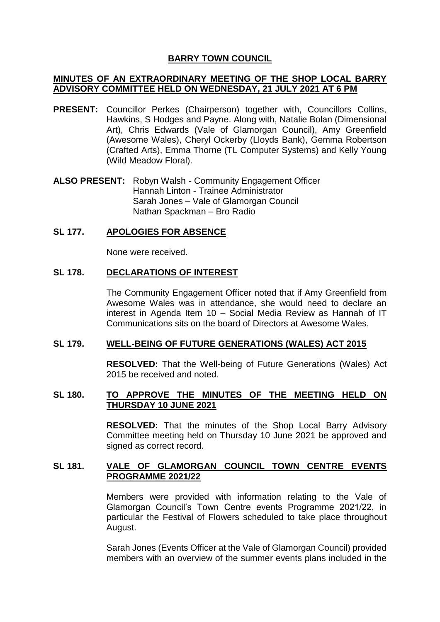# **BARRY TOWN COUNCIL**

## **MINUTES OF AN EXTRAORDINARY MEETING OF THE SHOP LOCAL BARRY ADVISORY COMMITTEE HELD ON WEDNESDAY, 21 JULY 2021 AT 6 PM**

- **PRESENT:** Councillor Perkes (Chairperson) together with, Councillors Collins, Hawkins, S Hodges and Payne. Along with, Natalie Bolan (Dimensional Art), Chris Edwards (Vale of Glamorgan Council), Amy Greenfield (Awesome Wales), Cheryl Ockerby (Lloyds Bank), Gemma Robertson (Crafted Arts), Emma Thorne (TL Computer Systems) and Kelly Young (Wild Meadow Floral).
- **ALSO PRESENT:** Robyn Walsh Community Engagement Officer Hannah Linton - Trainee Administrator Sarah Jones – Vale of Glamorgan Council Nathan Spackman – Bro Radio

## **SL 177. APOLOGIES FOR ABSENCE**

None were received.

# **SL 178. DECLARATIONS OF INTEREST**

The Community Engagement Officer noted that if Amy Greenfield from Awesome Wales was in attendance, she would need to declare an interest in Agenda Item 10 – Social Media Review as Hannah of IT Communications sits on the board of Directors at Awesome Wales.

## **SL 179. WELL-BEING OF FUTURE GENERATIONS (WALES) ACT 2015**

**RESOLVED:** That the Well-being of Future Generations (Wales) Act 2015 be received and noted.

# **SL 180. TO APPROVE THE MINUTES OF THE MEETING HELD ON THURSDAY 10 JUNE 2021**

**RESOLVED:** That the minutes of the Shop Local Barry Advisory Committee meeting held on Thursday 10 June 2021 be approved and signed as correct record.

# **SL 181. VALE OF GLAMORGAN COUNCIL TOWN CENTRE EVENTS PROGRAMME 2021/22**

Members were provided with information relating to the Vale of Glamorgan Council's Town Centre events Programme 2021/22, in particular the Festival of Flowers scheduled to take place throughout August.

Sarah Jones (Events Officer at the Vale of Glamorgan Council) provided members with an overview of the summer events plans included in the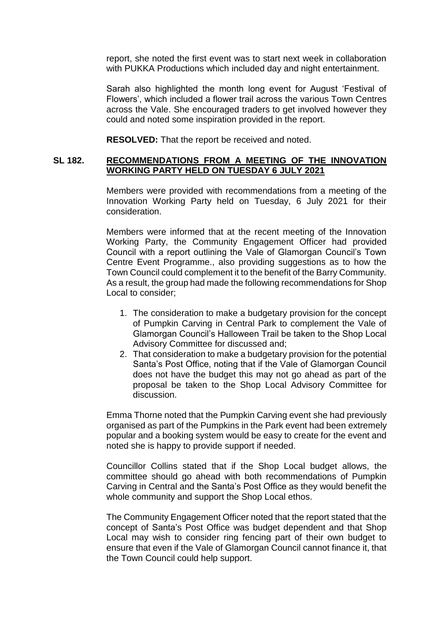report, she noted the first event was to start next week in collaboration with PUKKA Productions which included day and night entertainment.

Sarah also highlighted the month long event for August 'Festival of Flowers', which included a flower trail across the various Town Centres across the Vale. She encouraged traders to get involved however they could and noted some inspiration provided in the report.

**RESOLVED:** That the report be received and noted.

## **SL 182. RECOMMENDATIONS FROM A MEETING OF THE INNOVATION WORKING PARTY HELD ON TUESDAY 6 JULY 2021**

Members were provided with recommendations from a meeting of the Innovation Working Party held on Tuesday, 6 July 2021 for their consideration.

Members were informed that at the recent meeting of the Innovation Working Party, the Community Engagement Officer had provided Council with a report outlining the Vale of Glamorgan Council's Town Centre Event Programme., also providing suggestions as to how the Town Council could complement it to the benefit of the Barry Community. As a result, the group had made the following recommendations for Shop Local to consider;

- 1. The consideration to make a budgetary provision for the concept of Pumpkin Carving in Central Park to complement the Vale of Glamorgan Council's Halloween Trail be taken to the Shop Local Advisory Committee for discussed and;
- 2. That consideration to make a budgetary provision for the potential Santa's Post Office, noting that if the Vale of Glamorgan Council does not have the budget this may not go ahead as part of the proposal be taken to the Shop Local Advisory Committee for discussion.

Emma Thorne noted that the Pumpkin Carving event she had previously organised as part of the Pumpkins in the Park event had been extremely popular and a booking system would be easy to create for the event and noted she is happy to provide support if needed.

Councillor Collins stated that if the Shop Local budget allows, the committee should go ahead with both recommendations of Pumpkin Carving in Central and the Santa's Post Office as they would benefit the whole community and support the Shop Local ethos.

The Community Engagement Officer noted that the report stated that the concept of Santa's Post Office was budget dependent and that Shop Local may wish to consider ring fencing part of their own budget to ensure that even if the Vale of Glamorgan Council cannot finance it, that the Town Council could help support.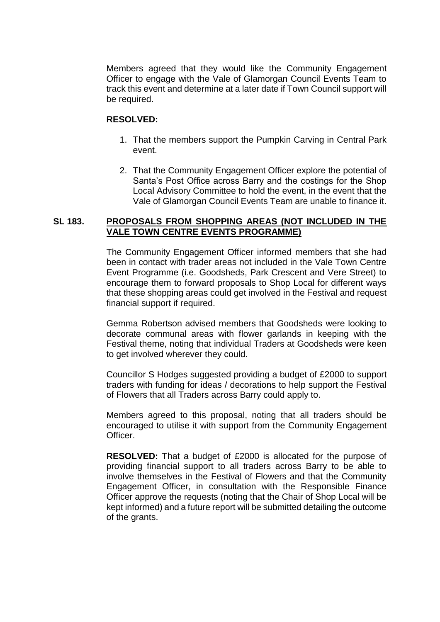Members agreed that they would like the Community Engagement Officer to engage with the Vale of Glamorgan Council Events Team to track this event and determine at a later date if Town Council support will be required.

### **RESOLVED:**

- 1. That the members support the Pumpkin Carving in Central Park event.
- 2. That the Community Engagement Officer explore the potential of Santa's Post Office across Barry and the costings for the Shop Local Advisory Committee to hold the event, in the event that the Vale of Glamorgan Council Events Team are unable to finance it.

## **SL 183. PROPOSALS FROM SHOPPING AREAS (NOT INCLUDED IN THE VALE TOWN CENTRE EVENTS PROGRAMME)**

The Community Engagement Officer informed members that she had been in contact with trader areas not included in the Vale Town Centre Event Programme (i.e. Goodsheds, Park Crescent and Vere Street) to encourage them to forward proposals to Shop Local for different ways that these shopping areas could get involved in the Festival and request financial support if required.

Gemma Robertson advised members that Goodsheds were looking to decorate communal areas with flower garlands in keeping with the Festival theme, noting that individual Traders at Goodsheds were keen to get involved wherever they could.

Councillor S Hodges suggested providing a budget of £2000 to support traders with funding for ideas / decorations to help support the Festival of Flowers that all Traders across Barry could apply to.

Members agreed to this proposal, noting that all traders should be encouraged to utilise it with support from the Community Engagement Officer.

**RESOLVED:** That a budget of £2000 is allocated for the purpose of providing financial support to all traders across Barry to be able to involve themselves in the Festival of Flowers and that the Community Engagement Officer, in consultation with the Responsible Finance Officer approve the requests (noting that the Chair of Shop Local will be kept informed) and a future report will be submitted detailing the outcome of the grants.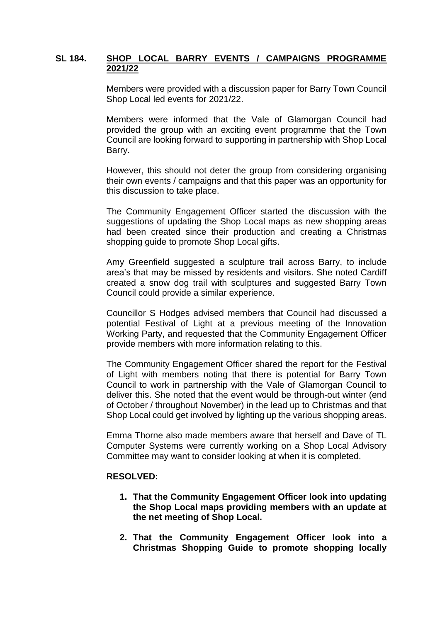## **SL 184. SHOP LOCAL BARRY EVENTS / CAMPAIGNS PROGRAMME 2021/22**

Members were provided with a discussion paper for Barry Town Council Shop Local led events for 2021/22.

Members were informed that the Vale of Glamorgan Council had provided the group with an exciting event programme that the Town Council are looking forward to supporting in partnership with Shop Local Barry.

However, this should not deter the group from considering organising their own events / campaigns and that this paper was an opportunity for this discussion to take place.

The Community Engagement Officer started the discussion with the suggestions of updating the Shop Local maps as new shopping areas had been created since their production and creating a Christmas shopping quide to promote Shop Local gifts.

Amy Greenfield suggested a sculpture trail across Barry, to include area's that may be missed by residents and visitors. She noted Cardiff created a snow dog trail with sculptures and suggested Barry Town Council could provide a similar experience.

Councillor S Hodges advised members that Council had discussed a potential Festival of Light at a previous meeting of the Innovation Working Party, and requested that the Community Engagement Officer provide members with more information relating to this.

The Community Engagement Officer shared the report for the Festival of Light with members noting that there is potential for Barry Town Council to work in partnership with the Vale of Glamorgan Council to deliver this. She noted that the event would be through-out winter (end of October / throughout November) in the lead up to Christmas and that Shop Local could get involved by lighting up the various shopping areas.

Emma Thorne also made members aware that herself and Dave of TL Computer Systems were currently working on a Shop Local Advisory Committee may want to consider looking at when it is completed.

#### **RESOLVED:**

- **1. That the Community Engagement Officer look into updating the Shop Local maps providing members with an update at the net meeting of Shop Local.**
- **2. That the Community Engagement Officer look into a Christmas Shopping Guide to promote shopping locally**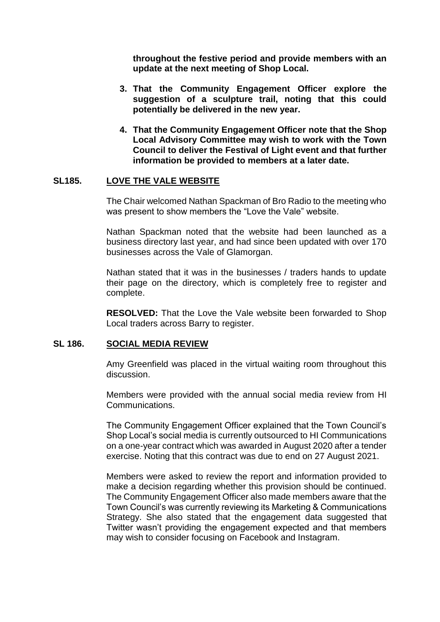**throughout the festive period and provide members with an update at the next meeting of Shop Local.**

- **3. That the Community Engagement Officer explore the suggestion of a sculpture trail, noting that this could potentially be delivered in the new year.**
- **4. That the Community Engagement Officer note that the Shop Local Advisory Committee may wish to work with the Town Council to deliver the Festival of Light event and that further information be provided to members at a later date.**

#### **SL185. LOVE THE VALE WEBSITE**

The Chair welcomed Nathan Spackman of Bro Radio to the meeting who was present to show members the "Love the Vale" website.

Nathan Spackman noted that the website had been launched as a business directory last year, and had since been updated with over 170 businesses across the Vale of Glamorgan.

Nathan stated that it was in the businesses / traders hands to update their page on the directory, which is completely free to register and complete.

**RESOLVED:** That the Love the Vale website been forwarded to Shop Local traders across Barry to register.

## **SL 186. SOCIAL MEDIA REVIEW**

Amy Greenfield was placed in the virtual waiting room throughout this discussion.

Members were provided with the annual social media review from HI Communications.

The Community Engagement Officer explained that the Town Council's Shop Local's social media is currently outsourced to HI Communications on a one-year contract which was awarded in August 2020 after a tender exercise. Noting that this contract was due to end on 27 August 2021.

Members were asked to review the report and information provided to make a decision regarding whether this provision should be continued. The Community Engagement Officer also made members aware that the Town Council's was currently reviewing its Marketing & Communications Strategy. She also stated that the engagement data suggested that Twitter wasn't providing the engagement expected and that members may wish to consider focusing on Facebook and Instagram.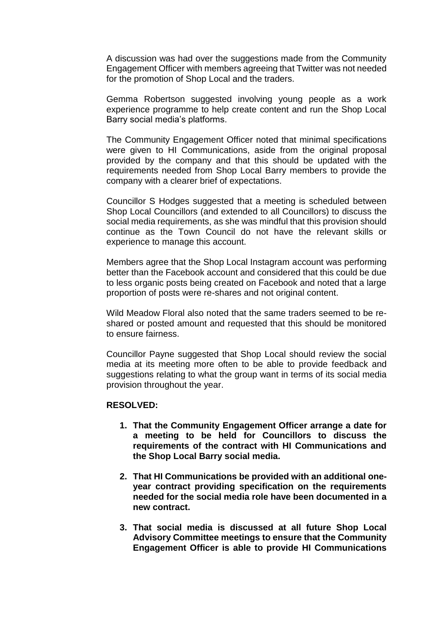A discussion was had over the suggestions made from the Community Engagement Officer with members agreeing that Twitter was not needed for the promotion of Shop Local and the traders.

Gemma Robertson suggested involving young people as a work experience programme to help create content and run the Shop Local Barry social media's platforms.

The Community Engagement Officer noted that minimal specifications were given to HI Communications, aside from the original proposal provided by the company and that this should be updated with the requirements needed from Shop Local Barry members to provide the company with a clearer brief of expectations.

Councillor S Hodges suggested that a meeting is scheduled between Shop Local Councillors (and extended to all Councillors) to discuss the social media requirements, as she was mindful that this provision should continue as the Town Council do not have the relevant skills or experience to manage this account.

Members agree that the Shop Local Instagram account was performing better than the Facebook account and considered that this could be due to less organic posts being created on Facebook and noted that a large proportion of posts were re-shares and not original content.

Wild Meadow Floral also noted that the same traders seemed to be reshared or posted amount and requested that this should be monitored to ensure fairness.

Councillor Payne suggested that Shop Local should review the social media at its meeting more often to be able to provide feedback and suggestions relating to what the group want in terms of its social media provision throughout the year.

#### **RESOLVED:**

- **1. That the Community Engagement Officer arrange a date for a meeting to be held for Councillors to discuss the requirements of the contract with HI Communications and the Shop Local Barry social media.**
- **2. That HI Communications be provided with an additional oneyear contract providing specification on the requirements needed for the social media role have been documented in a new contract.**
- **3. That social media is discussed at all future Shop Local Advisory Committee meetings to ensure that the Community Engagement Officer is able to provide HI Communications**